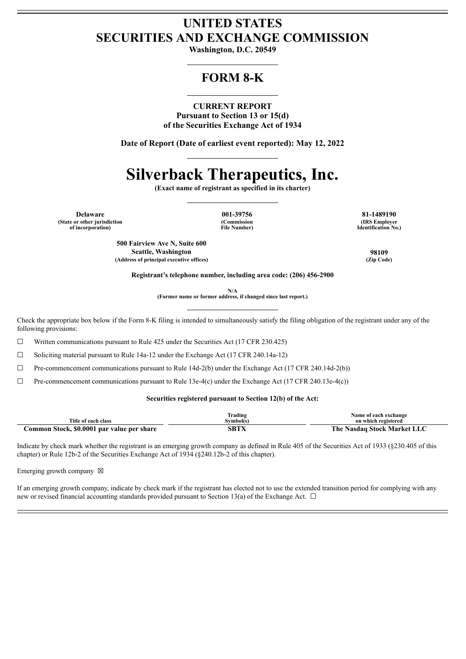### **UNITED STATES SECURITIES AND EXCHANGE COMMISSION**

**Washington, D.C. 20549**

## **FORM 8-K**

#### **CURRENT REPORT**

**Pursuant to Section 13 or 15(d) of the Securities Exchange Act of 1934**

**Date of Report (Date of earliest event reported): May 12, 2022**

## **Silverback Therapeutics, Inc.**

**(Exact name of registrant as specified in its charter)**

**(State or other jurisdiction of incorporation)**

**(Commission File Number)**

**Delaware 001-39756 81-1489190 (IRS Employer Identification No.)**

> **500 Fairview Ave N, Suite 600 Seattle, Washington 98109 (Address of principal executive offices) (Zip Code)**

**Registrant's telephone number, including area code: (206) 456-2900**

**N/A**

**(Former name or former address, if changed since last report.)**

Check the appropriate box below if the Form 8-K filing is intended to simultaneously satisfy the filing obligation of the registrant under any of the following provisions:

 $\Box$  Written communications pursuant to Rule 425 under the Securities Act (17 CFR 230.425)

☐ Soliciting material pursuant to Rule 14a-12 under the Exchange Act (17 CFR 240.14a-12)

 $\Box$  Pre-commencement communications pursuant to Rule 14d-2(b) under the Exchange Act (17 CFR 240.14d-2(b))

 $\Box$  Pre-commencement communications pursuant to Rule 13e-4(c) under the Exchange Act (17 CFR 240.13e-4(c))

#### **Securities registered pursuant to Section 12(b) of the Act:**

|                                                                   | lrading  | Name of each exchange                       |
|-------------------------------------------------------------------|----------|---------------------------------------------|
| Title of each class                                               | svmbol(s | on which registered                         |
| <b>Stock, \$0.0001</b><br><b>par value per</b><br>.ommon<br>share | SBTX     | The .<br>  Stock Market L<br>Nasdaa<br>LIA. |

Indicate by check mark whether the registrant is an emerging growth company as defined in Rule 405 of the Securities Act of 1933 (§230.405 of this chapter) or Rule 12b-2 of the Securities Exchange Act of 1934 (§240.12b-2 of this chapter).

Emerging growth company  $\boxtimes$ 

If an emerging growth company, indicate by check mark if the registrant has elected not to use the extended transition period for complying with any new or revised financial accounting standards provided pursuant to Section 13(a) of the Exchange Act.  $\Box$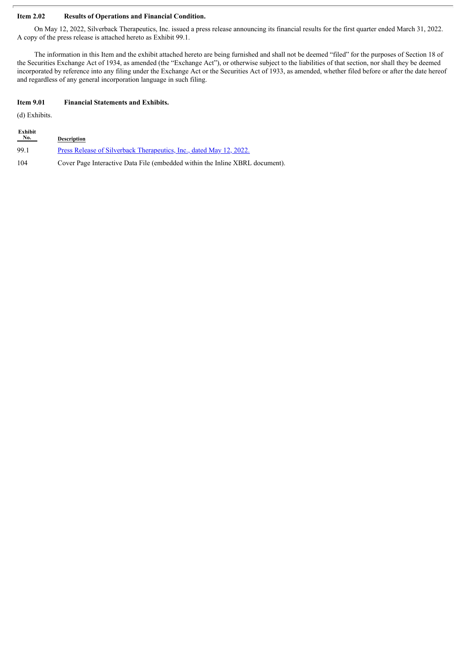#### **Item 2.02 Results of Operations and Financial Condition.**

On May 12, 2022, Silverback Therapeutics, Inc. issued a press release announcing its financial results for the first quarter ended March 31, 2022. A copy of the press release is attached hereto as Exhibit 99.1.

The information in this Item and the exhibit attached hereto are being furnished and shall not be deemed "filed" for the purposes of Section 18 of the Securities Exchange Act of 1934, as amended (the "Exchange Act"), or otherwise subject to the liabilities of that section, nor shall they be deemed incorporated by reference into any filing under the Exchange Act or the Securities Act of 1933, as amended, whether filed before or after the date hereof and regardless of any general incorporation language in such filing.

#### **Item 9.01 Financial Statements and Exhibits.**

(d) Exhibits.

| Exhibit<br>$N_{0.}$ | <b>Description</b>                                                           |
|---------------------|------------------------------------------------------------------------------|
| 99.1                | Press Release of Silverback Therapeutics, Inc., dated May 12, 2022.          |
| 104                 | Cover Page Interactive Data File (embedded within the Inline XBRL document). |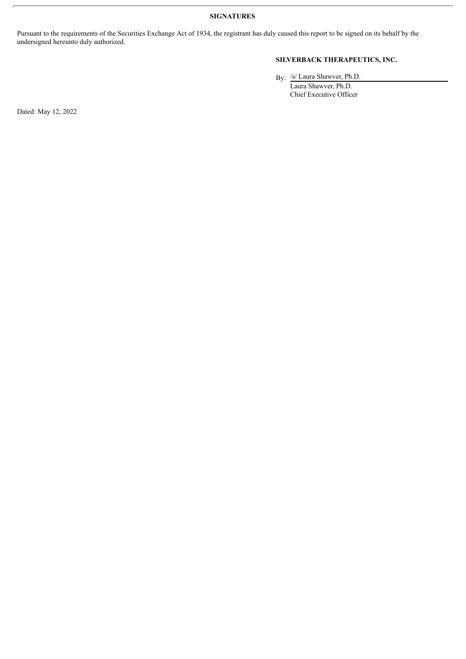**SIGNATURES**

Pursuant to the requirements of the Securities Exchange Act of 1934, the registrant has duly caused this report to be signed on its behalf by the undersigned hereunto duly authorized.

#### **SILVERBACK THERAPEUTICS, INC.**

By: /s/ Laura Shawver, Ph.D.

Laura Shawver, Ph.D. Chief Executive Officer

Dated: May 12, 2022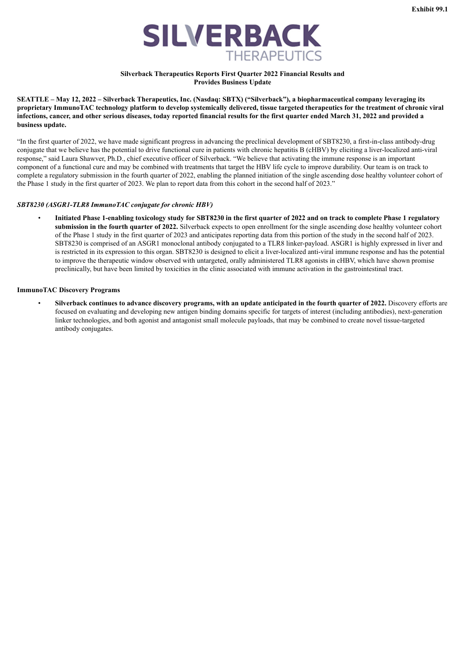

#### **Silverback Therapeutics Reports First Quarter 2022 Financial Results and Provides Business Update**

<span id="page-3-0"></span>SEATTLE - May 12, 2022 - Silverback Therapeutics, Inc. (Nasdaq: SBTX) ("Silverback"), a biopharmaceutical company leveraging its proprietary ImmunoTAC technology platform to develop systemically delivered, tissue targeted therapeutics for the treatment of chronic viral infections, cancer, and other serious diseases, today reported financial results for the first quarter ended March 31, 2022 and provided a **business update.**

"In the first quarter of 2022, we have made significant progress in advancing the preclinical development of SBT8230, a first-in-class antibody-drug conjugate that we believe has the potential to drive functional cure in patients with chronic hepatitis B (cHBV) by eliciting a liver-localized anti-viral response," said Laura Shawver, Ph.D., chief executive officer of Silverback. "We believe that activating the immune response is an important component of a functional cure and may be combined with treatments that target the HBV life cycle to improve durability. Our team is on track to complete a regulatory submission in the fourth quarter of 2022, enabling the planned initiation of the single ascending dose healthy volunteer cohort of the Phase 1 study in the first quarter of 2023. We plan to report data from this cohort in the second half of 2023."

#### *SBT8230 (ASGR1-TLR8 ImmunoTAC conjugate for chronic HBV)*

Initiated Phase 1-enabling toxicology study for SBT8230 in the first quarter of 2022 and on track to complete Phase 1 regulatory **submission in the fourth quarter of 2022.** Silverback expects to open enrollment for the single ascending dose healthy volunteer cohort of the Phase 1 study in the first quarter of 2023 and anticipates reporting data from this portion of the study in the second half of 2023. SBT8230 is comprised of an ASGR1 monoclonal antibody conjugated to a TLR8 linker-payload. ASGR1 is highly expressed in liver and is restricted in its expression to this organ. SBT8230 is designed to elicit a liver-localized anti-viral immune response and has the potential to improve the therapeutic window observed with untargeted, orally administered TLR8 agonists in cHBV, which have shown promise preclinically, but have been limited by toxicities in the clinic associated with immune activation in the gastrointestinal tract.

#### **ImmunoTAC Discovery Programs**

Silverback continues to advance discovery programs, with an update anticipated in the fourth quarter of 2022. Discovery efforts are focused on evaluating and developing new antigen binding domains specific for targets of interest (including antibodies), next-generation linker technologies, and both agonist and antagonist small molecule payloads, that may be combined to create novel tissue-targeted antibody conjugates.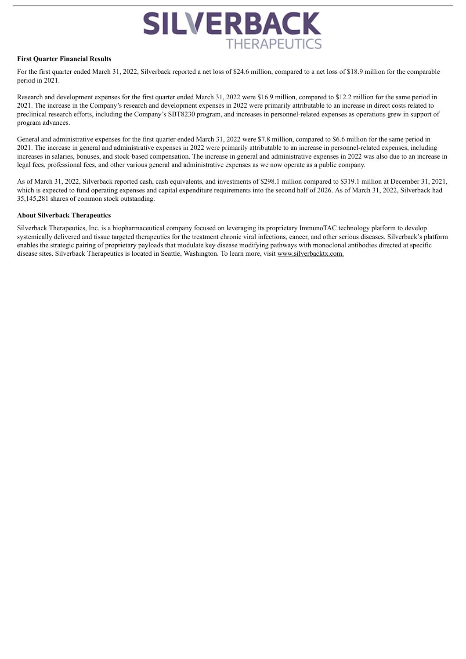# **SILVERBACK THERAPEUTICS**

#### **First Quarter Financial Results**

For the first quarter ended March 31, 2022, Silverback reported a net loss of \$24.6 million, compared to a net loss of \$18.9 million for the comparable period in 2021.

Research and development expenses for the first quarter ended March 31, 2022 were \$16.9 million, compared to \$12.2 million for the same period in 2021. The increase in the Company's research and development expenses in 2022 were primarily attributable to an increase in direct costs related to preclinical research efforts, including the Company's SBT8230 program, and increases in personnel-related expenses as operations grew in support of program advances.

General and administrative expenses for the first quarter ended March 31, 2022 were \$7.8 million, compared to \$6.6 million for the same period in 2021. The increase in general and administrative expenses in 2022 were primarily attributable to an increase in personnel-related expenses, including increases in salaries, bonuses, and stock-based compensation. The increase in general and administrative expenses in 2022 was also due to an increase in legal fees, professional fees, and other various general and administrative expenses as we now operate as a public company.

As of March 31, 2022, Silverback reported cash, cash equivalents, and investments of \$298.1 million compared to \$319.1 million at December 31, 2021, which is expected to fund operating expenses and capital expenditure requirements into the second half of 2026. As of March 31, 2022, Silverback had 35,145,281 shares of common stock outstanding.

#### **About Silverback Therapeutics**

Silverback Therapeutics, Inc. is a biopharmaceutical company focused on leveraging its proprietary ImmunoTAC technology platform to develop systemically delivered and tissue targeted therapeutics for the treatment chronic viral infections, cancer, and other serious diseases. Silverback's platform enables the strategic pairing of proprietary payloads that modulate key disease modifying pathways with monoclonal antibodies directed at specific disease sites. Silverback Therapeutics is located in Seattle, Washington. To learn more, visit www.silverbacktx.com.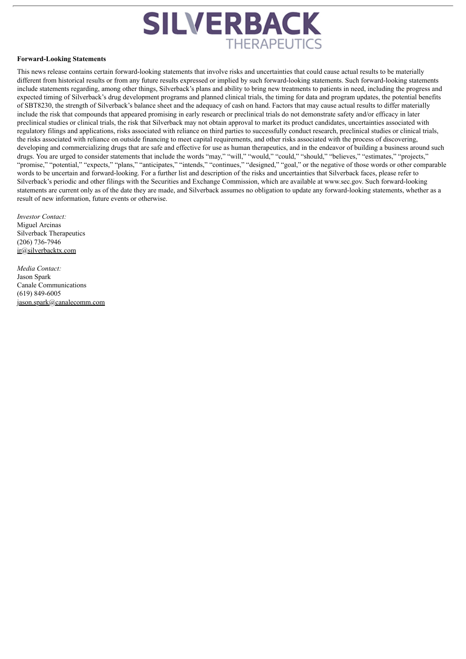

#### **Forward-Looking Statements**

This news release contains certain forward-looking statements that involve risks and uncertainties that could cause actual results to be materially different from historical results or from any future results expressed or implied by such forward-looking statements. Such forward-looking statements include statements regarding, among other things, Silverback's plans and ability to bring new treatments to patients in need, including the progress and expected timing of Silverback's drug development programs and planned clinical trials, the timing for data and program updates, the potential benefits of SBT8230, the strength of Silverback's balance sheet and the adequacy of cash on hand. Factors that may cause actual results to differ materially include the risk that compounds that appeared promising in early research or preclinical trials do not demonstrate safety and/or efficacy in later preclinical studies or clinical trials, the risk that Silverback may not obtain approval to market its product candidates, uncertainties associated with regulatory filings and applications, risks associated with reliance on third parties to successfully conduct research, preclinical studies or clinical trials, the risks associated with reliance on outside financing to meet capital requirements, and other risks associated with the process of discovering, developing and commercializing drugs that are safe and effective for use as human therapeutics, and in the endeavor of building a business around such drugs. You are urged to consider statements that include the words "may," "will," "would," "could," "should," "believes," "estimates," "projects," "promise," "potential," "expects," "plans," "anticipates," "intends," "continues," "designed," "goal," or the negative of those words or other comparable words to be uncertain and forward-looking. For a further list and description of the risks and uncertainties that Silverback faces, please refer to Silverback's periodic and other filings with the Securities and Exchange Commission, which are available at www.sec.gov. Such forward-looking statements are current only as of the date they are made, and Silverback assumes no obligation to update any forward-looking statements, whether as a result of new information, future events or otherwise.

*Investor Contact:* Miguel Arcinas Silverback Therapeutics (206) 736-7946 ir@silverbacktx.com

*Media Contact:* Jason Spark Canale Communications (619) 849-6005 jason.spark@canalecomm.com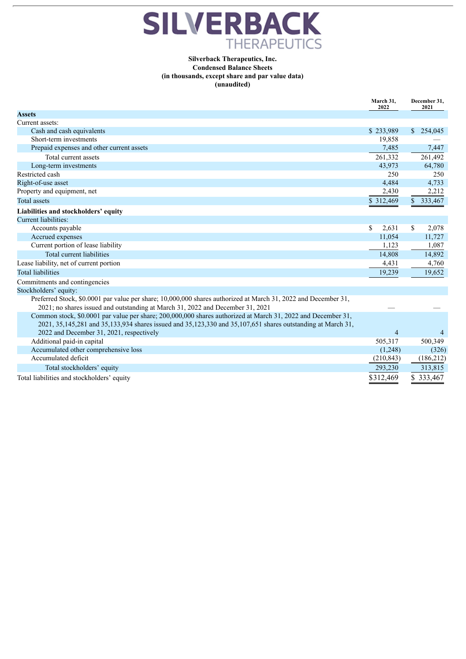

#### **Silverback Therapeutics, Inc. Condensed Balance Sheets (in thousands, except share and par value data) (unaudited)**

|                                                                                                                     | March 31.<br>2022 | December 31,<br>2021 |
|---------------------------------------------------------------------------------------------------------------------|-------------------|----------------------|
| <b>Assets</b>                                                                                                       |                   |                      |
| Current assets:                                                                                                     |                   |                      |
| Cash and cash equivalents                                                                                           | \$233,989         | \$254,045            |
| Short-term investments                                                                                              | 19,858            |                      |
| Prepaid expenses and other current assets                                                                           | 7,485             | 7,447                |
| Total current assets                                                                                                | 261,332           | 261,492              |
| Long-term investments                                                                                               | 43,973            | 64,780               |
| Restricted cash                                                                                                     | 250               | 250                  |
| Right-of-use asset                                                                                                  | 4,484             | 4,733                |
| Property and equipment, net                                                                                         | 2,430             | 2,212                |
| <b>Total assets</b>                                                                                                 | \$312,469         | \$333,467            |
| Liabilities and stockholders' equity                                                                                |                   |                      |
| Current liabilities:                                                                                                |                   |                      |
| Accounts payable                                                                                                    | \$<br>2,631       | S.<br>2,078          |
| Accrued expenses                                                                                                    | 11,054            | 11,727               |
| Current portion of lease liability                                                                                  | 1,123             | 1,087                |
| Total current liabilities                                                                                           | 14,808            | 14,892               |
| Lease liability, net of current portion                                                                             | 4,431             | 4,760                |
| <b>Total liabilities</b>                                                                                            | 19,239            | 19,652               |
| Commitments and contingencies                                                                                       |                   |                      |
| Stockholders' equity:                                                                                               |                   |                      |
| Preferred Stock, \$0.0001 par value per share; 10,000,000 shares authorized at March 31, 2022 and December 31,      |                   |                      |
| 2021; no shares issued and outstanding at March 31, 2022 and December 31, 2021                                      |                   |                      |
| Common stock, \$0.0001 par value per share; 200,000,000 shares authorized at March 31, 2022 and December 31,        |                   |                      |
| 2021, 35, 145, 281 and 35, 133, 934 shares issued and 35, 123, 330 and 35, 107, 651 shares outstanding at March 31, |                   |                      |
| 2022 and December 31, 2021, respectively                                                                            | $\overline{4}$    |                      |
| Additional paid-in capital                                                                                          | 505,317           | 500,349              |
| Accumulated other comprehensive loss                                                                                | (1,248)           | (326)                |
| Accumulated deficit                                                                                                 | (210, 843)        | (186,212)            |
| Total stockholders' equity                                                                                          | 293,230           | 313,815              |
| Total liabilities and stockholders' equity                                                                          | \$312,469         | \$333,467            |